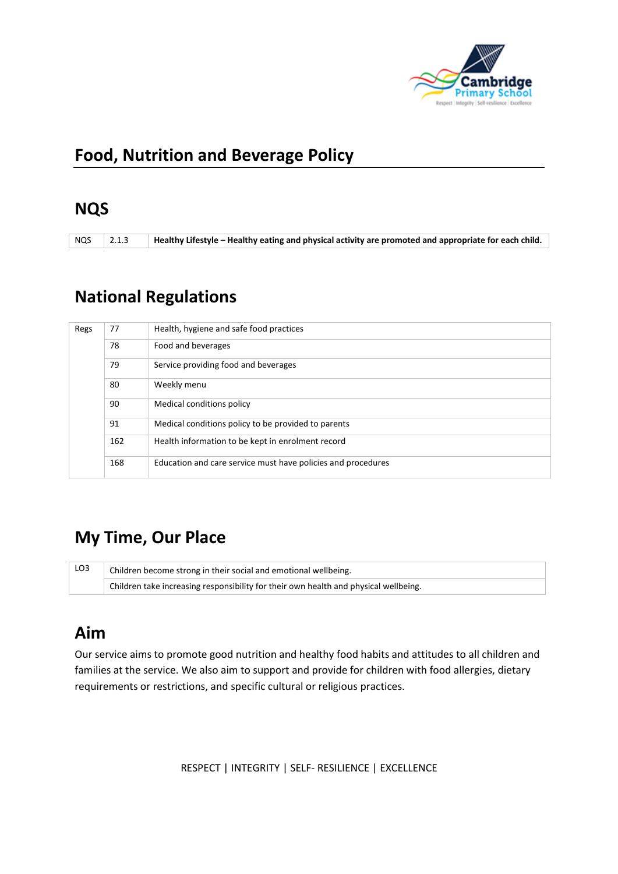

#### **Food, Nutrition and Beverage Policy**

#### **NQS**

NQS 2.1.3 **Healthy Lifestyle – Healthy eating and physical activity are promoted and appropriate for each child.**

# **National Regulations**

| Regs | 77  | Health, hygiene and safe food practices                      |
|------|-----|--------------------------------------------------------------|
|      | 78  | Food and beverages                                           |
|      | 79  | Service providing food and beverages                         |
|      | 80  | Weekly menu                                                  |
|      | 90  | Medical conditions policy                                    |
|      | 91  | Medical conditions policy to be provided to parents          |
|      | 162 | Health information to be kept in enrolment record            |
|      | 168 | Education and care service must have policies and procedures |

## **My Time, Our Place**

| LO3 | Children become strong in their social and emotional wellbeing.                      |  |  |  |
|-----|--------------------------------------------------------------------------------------|--|--|--|
|     | Children take increasing responsibility for their own health and physical wellbeing. |  |  |  |

## **Aim**

Our service aims to promote good nutrition and healthy food habits and attitudes to all children and families at the service. We also aim to support and provide for children with food allergies, dietary requirements or restrictions, and specific cultural or religious practices.

RESPECT | INTEGRITY | SELF- RESILIENCE | EXCELLENCE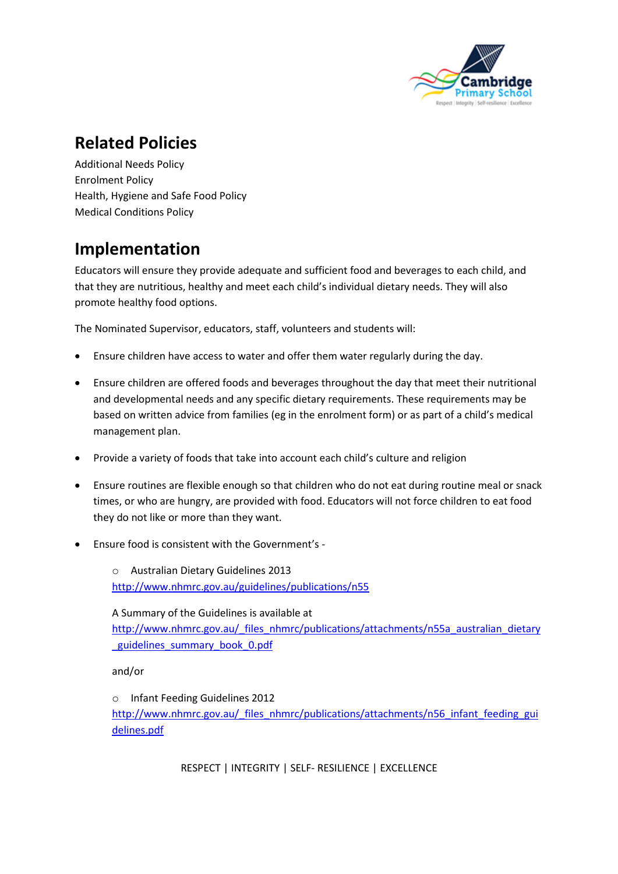

## **Related Policies**

Additional Needs Policy Enrolment Policy Health, Hygiene and Safe Food Policy Medical Conditions Policy

# **Implementation**

Educators will ensure they provide adequate and sufficient food and beverages to each child, and that they are nutritious, healthy and meet each child's individual dietary needs. They will also promote healthy food options.

The Nominated Supervisor, educators, staff, volunteers and students will:

- Ensure children have access to water and offer them water regularly during the day.
- Ensure children are offered foods and beverages throughout the day that meet their nutritional and developmental needs and any specific dietary requirements. These requirements may be based on written advice from families (eg in the enrolment form) or as part of a child's medical management plan.
- Provide a variety of foods that take into account each child's culture and religion
- Ensure routines are flexible enough so that children who do not eat during routine meal or snack times, or who are hungry, are provided with food. Educators will not force children to eat food they do not like or more than they want.
- Ensure food is consistent with the Government's -

o Australian Dietary Guidelines 2013 <http://www.nhmrc.gov.au/guidelines/publications/n55>

A Summary of the Guidelines is available at [http://www.nhmrc.gov.au/\\_files\\_nhmrc/publications/attachments/n55a\\_australian\\_dietary](http://www.nhmrc.gov.au/_files_nhmrc/publications/attachments/n55a_australian_dietary_guidelines_summary_book_0.pdf)

[\\_guidelines\\_summary\\_book\\_0.pdf](http://www.nhmrc.gov.au/_files_nhmrc/publications/attachments/n55a_australian_dietary_guidelines_summary_book_0.pdf)

and/or

o Infant Feeding Guidelines 2012

[http://www.nhmrc.gov.au/\\_files\\_nhmrc/publications/attachments/n56\\_infant\\_feeding\\_gui](http://www.nhmrc.gov.au/_files_nhmrc/publications/attachments/n56_infant_feeding_guidelines.pdf) [delines.pdf](http://www.nhmrc.gov.au/_files_nhmrc/publications/attachments/n56_infant_feeding_guidelines.pdf)

RESPECT | INTEGRITY | SELF- RESILIENCE | EXCELLENCE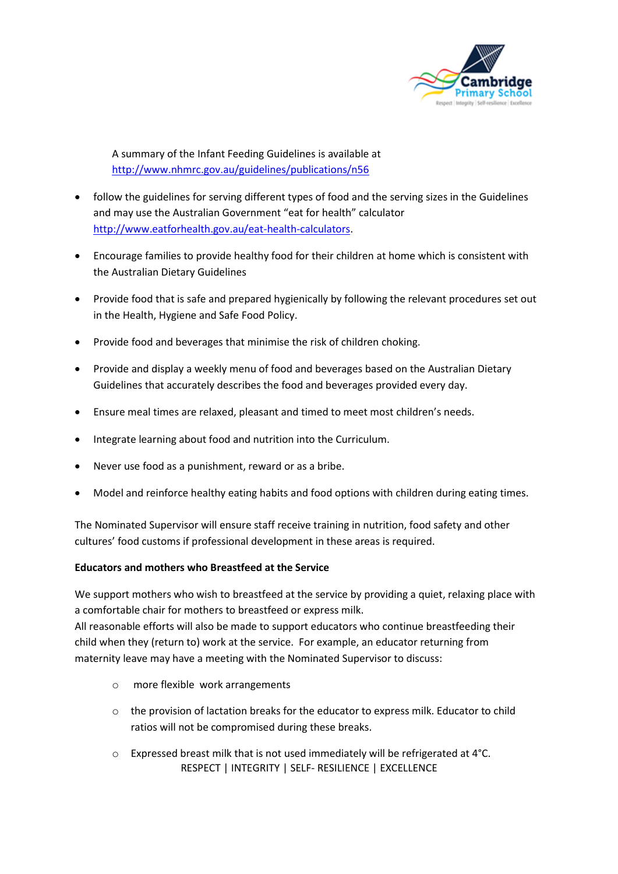

A summary of the Infant Feeding Guidelines is available at <http://www.nhmrc.gov.au/guidelines/publications/n56>

- follow the guidelines for serving different types of food and the serving sizes in the Guidelines and may use the Australian Government "eat for health" calculator [http://www.eatforhealth.gov.au/eat-health-calculators.](http://www.eatforhealth.gov.au/eat-health-calculators)
- Encourage families to provide healthy food for their children at home which is consistent with the Australian Dietary Guidelines
- Provide food that is safe and prepared hygienically by following the relevant procedures set out in the Health, Hygiene and Safe Food Policy.
- Provide food and beverages that minimise the risk of children choking.
- Provide and display a weekly menu of food and beverages based on the Australian Dietary Guidelines that accurately describes the food and beverages provided every day.
- Ensure meal times are relaxed, pleasant and timed to meet most children's needs.
- Integrate learning about food and nutrition into the Curriculum.
- Never use food as a punishment, reward or as a bribe.
- Model and reinforce healthy eating habits and food options with children during eating times.

The Nominated Supervisor will ensure staff receive training in nutrition, food safety and other cultures' food customs if professional development in these areas is required.

#### **Educators and mothers who Breastfeed at the Service**

We support mothers who wish to breastfeed at the service by providing a quiet, relaxing place with a comfortable chair for mothers to breastfeed or express milk.

All reasonable efforts will also be made to support educators who continue breastfeeding their child when they (return to) work at the service. For example, an educator returning from maternity leave may have a meeting with the Nominated Supervisor to discuss:

- o more flexible work arrangements
- o the provision of lactation breaks for the educator to express milk. Educator to child ratios will not be compromised during these breaks.
- RESPECT | INTEGRITY | SELF- RESILIENCE | EXCELLENCE o Expressed breast milk that is not used immediately will be refrigerated at 4°C.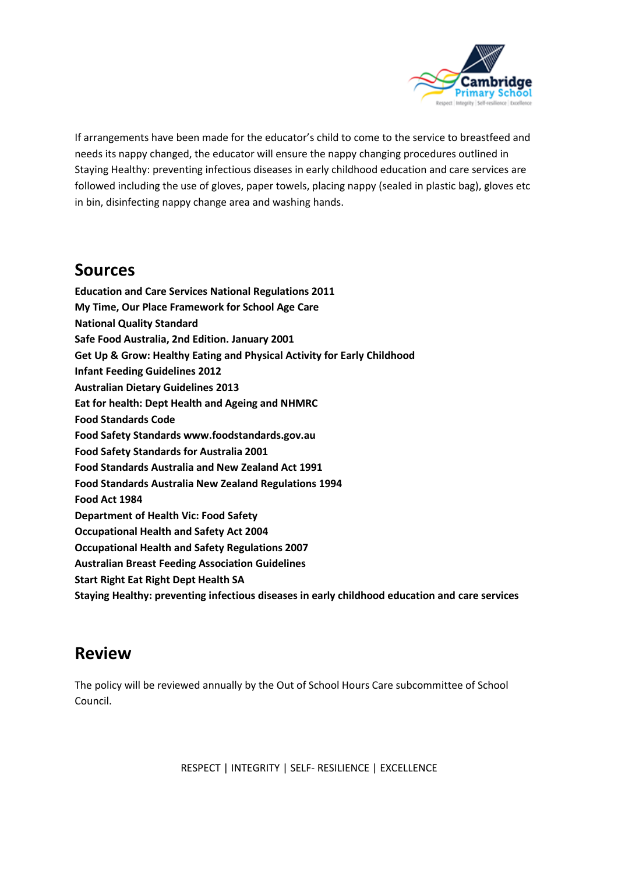

If arrangements have been made for the educator's child to come to the service to breastfeed and needs its nappy changed, the educator will ensure the nappy changing procedures outlined in Staying Healthy: preventing infectious diseases in early childhood education and care services are followed including the use of gloves, paper towels, placing nappy (sealed in plastic bag), gloves etc in bin, disinfecting nappy change area and washing hands.

#### **Sources**

**Education and Care Services National Regulations 2011 My Time, Our Place Framework for School Age Care National Quality Standard Safe Food Australia, 2nd Edition. January 2001 Get Up & Grow: Healthy Eating and Physical Activity for Early Childhood Infant Feeding Guidelines 2012 Australian Dietary Guidelines 2013 Eat for health: Dept Health and Ageing and NHMRC Food Standards Code Food Safety Standards www.foodstandards.gov.au Food Safety Standards for Australia 2001 Food Standards Australia and New Zealand Act 1991 Food Standards Australia New Zealand Regulations 1994 Food Act 1984 Department of Health Vic: Food Safety Occupational Health and Safety Act 2004 Occupational Health and Safety Regulations 2007 Australian Breast Feeding Association Guidelines Start Right Eat Right Dept Health SA**

**Staying Healthy: preventing infectious diseases in early childhood education and care services** 

#### **Review**

The policy will be reviewed annually by the Out of School Hours Care subcommittee of School Council.

RESPECT | INTEGRITY | SELF- RESILIENCE | EXCELLENCE